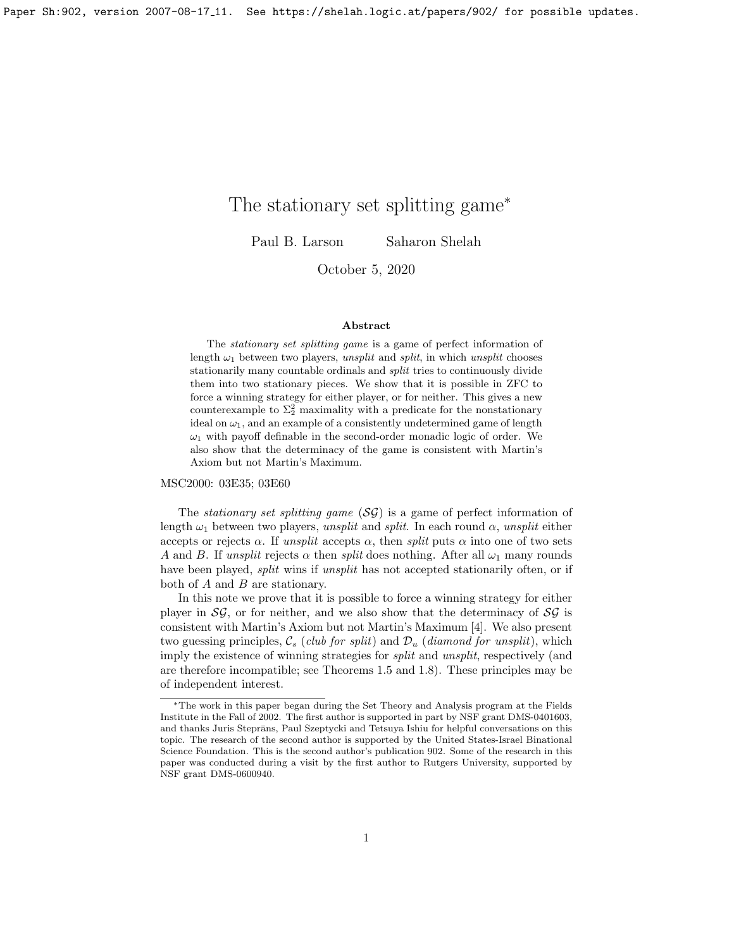# The stationary set splitting game<sup>∗</sup>

Paul B. Larson Saharon Shelah

October 5, 2020

### Abstract

The stationary set splitting game is a game of perfect information of length  $\omega_1$  between two players, unsplit and split, in which unsplit chooses stationarily many countable ordinals and split tries to continuously divide them into two stationary pieces. We show that it is possible in ZFC to force a winning strategy for either player, or for neither. This gives a new counterexample to  $\Sigma_2^2$  maximality with a predicate for the nonstationary ideal on  $\omega_1$ , and an example of a consistently undetermined game of length  $\omega_1$  with payoff definable in the second-order monadic logic of order. We also show that the determinacy of the game is consistent with Martin's Axiom but not Martin's Maximum.

### MSC2000: 03E35; 03E60

The *stationary set splitting game*  $(S\mathcal{G})$  is a game of perfect information of length  $\omega_1$  between two players, unsplit and split. In each round  $\alpha$ , unsplit either accepts or rejects  $\alpha$ . If unsplit accepts  $\alpha$ , then split puts  $\alpha$  into one of two sets A and B. If unsplit rejects  $\alpha$  then split does nothing. After all  $\omega_1$  many rounds have been played, *split* wins if *unsplit* has not accepted stationarily often, or if both of  $A$  and  $B$  are stationary.

In this note we prove that it is possible to force a winning strategy for either player in  $\mathcal{SG}$ , or for neither, and we also show that the determinacy of  $\mathcal{SG}$  is consistent with Martin's Axiom but not Martin's Maximum [\[4\]](#page-9-0). We also present two guessing principles,  $\mathcal{C}_s$  (club for split) and  $\mathcal{D}_u$  (diamond for unsplit), which imply the existence of winning strategies for *split* and *unsplit*, respectively (and are therefore incompatible; see Theorems [1.5](#page-2-0) and [1.8\)](#page-4-0). These principles may be of independent interest.

<sup>∗</sup>The work in this paper began during the Set Theory and Analysis program at the Fields Institute in the Fall of 2002. The first author is supported in part by NSF grant DMS-0401603, and thanks Juris Steprāns, Paul Szeptycki and Tetsuya Ishiu for helpful conversations on this topic. The research of the second author is supported by the United States-Israel Binational Science Foundation. This is the second author's publication 902. Some of the research in this paper was conducted during a visit by the first author to Rutgers University, supported by NSF grant DMS-0600940.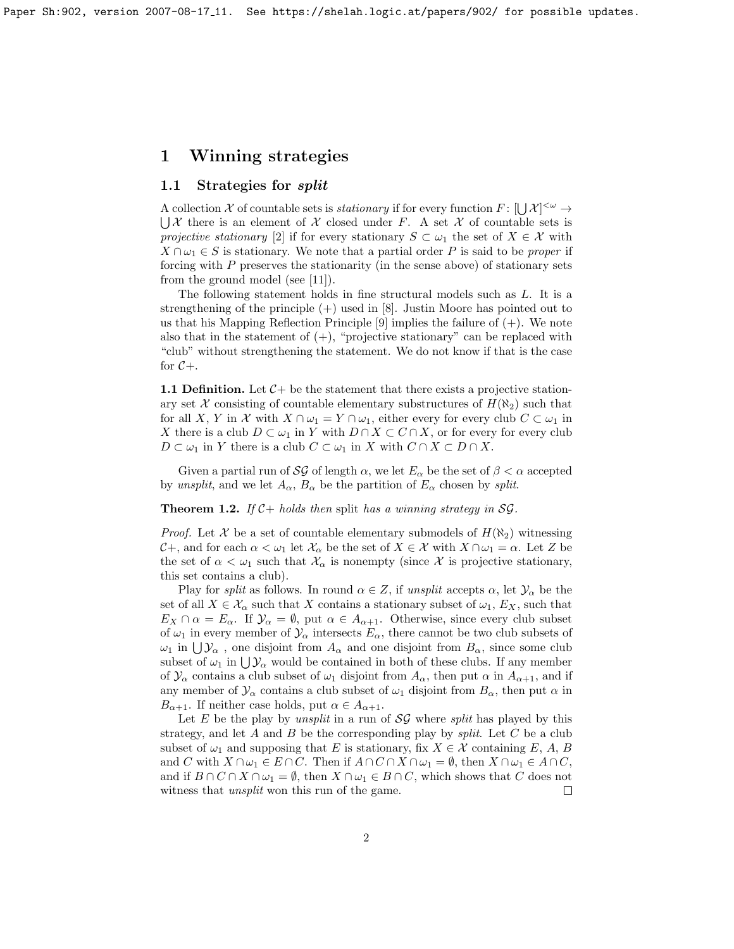Paper Sh:902, version 2007-08-17 11. See https://shelah.logic.at/papers/902/ for possible updates.

## 1 Winning strategies

## 1.1 Strategies for split

A collection X of countable sets is *stationary* if for every function  $F: [\bigcup \mathcal{X}]^{<\omega} \to$  $\bigcup \mathcal{X}$  there is an element of  $\mathcal X$  closed under F. A set  $\mathcal X$  of countable sets is projective stationary [\[2\]](#page-9-1) if for every stationary  $S \subset \omega_1$  the set of  $X \in \mathcal{X}$  with  $X \cap \omega_1 \in S$  is stationary. We note that a partial order P is said to be proper if forcing with P preserves the stationarity (in the sense above) of stationary sets from the ground model (see [\[11\]](#page-10-0)).

The following statement holds in fine structural models such as L. It is a strengthening of the principle (+) used in [\[8\]](#page-9-2). Justin Moore has pointed out to us that his Mapping Reflection Principle  $[9]$  implies the failure of  $(+)$ . We note also that in the statement of  $(+)$ , "projective stationary" can be replaced with "club" without strengthening the statement. We do not know if that is the case for  $C_{+}$ .

**1.1 Definition.** Let  $C$  + be the statement that there exists a projective stationary set X consisting of countable elementary substructures of  $H(\aleph_2)$  such that for all X, Y in X with  $X \cap \omega_1 = Y \cap \omega_1$ , either every for every club  $C \subset \omega_1$  in X there is a club  $D \subset \omega_1$  in Y with  $D \cap X \subset C \cap X$ , or for every for every club  $D \subset \omega_1$  in Y there is a club  $C \subset \omega_1$  in X with  $C \cap X \subset D \cap X$ .

Given a partial run of SG of length  $\alpha$ , we let  $E_{\alpha}$  be the set of  $\beta < \alpha$  accepted by unsplit, and we let  $A_{\alpha}$ ,  $B_{\alpha}$  be the partition of  $E_{\alpha}$  chosen by split.

<span id="page-1-0"></span>**Theorem 1.2.** If  $C+$  holds then split has a winning strategy in SG.

*Proof.* Let X be a set of countable elementary submodels of  $H(\aleph_2)$  witnessing  $\mathcal{C}$ +, and for each  $\alpha < \omega_1$  let  $\mathcal{X}_\alpha$  be the set of  $X \in \mathcal{X}$  with  $X \cap \omega_1 = \alpha$ . Let Z be the set of  $\alpha < \omega_1$  such that  $\mathcal{X}_\alpha$  is nonempty (since X is projective stationary, this set contains a club).

Play for split as follows. In round  $\alpha \in \mathbb{Z}$ , if unsplit accepts  $\alpha$ , let  $\mathcal{Y}_{\alpha}$  be the set of all  $X \in \mathcal{X}_{\alpha}$  such that X contains a stationary subset of  $\omega_1, E_X$ , such that  $E_X \cap \alpha = E_\alpha$ . If  $\mathcal{Y}_\alpha = \emptyset$ , put  $\alpha \in A_{\alpha+1}$ . Otherwise, since every club subset of  $\omega_1$  in every member of  $\mathcal{Y}_\alpha$  intersects  $E_\alpha$ , there cannot be two club subsets of  $\omega_1$  in  $\bigcup \mathcal{Y}_\alpha$ , one disjoint from  $A_\alpha$  and one disjoint from  $B_\alpha$ , since some club subset of  $\omega_1$  in  $\bigcup \mathcal{Y}_\alpha$  would be contained in both of these clubs. If any member of  $\mathcal{Y}_\alpha$  contains a club subset of  $\omega_1$  disjoint from  $A_\alpha$ , then put  $\alpha$  in  $A_{\alpha+1}$ , and if any member of  $\mathcal{Y}_{\alpha}$  contains a club subset of  $\omega_1$  disjoint from  $B_{\alpha}$ , then put  $\alpha$  in  $B_{\alpha+1}$ . If neither case holds, put  $\alpha \in A_{\alpha+1}$ .

Let E be the play by *unsplit* in a run of  $SG$  where *split* has played by this strategy, and let A and B be the corresponding play by *split*. Let C be a club subset of  $\omega_1$  and supposing that E is stationary, fix  $X \in \mathcal{X}$  containing E, A, B and C with  $X \cap \omega_1 \in E \cap C$ . Then if  $A \cap C \cap X \cap \omega_1 = \emptyset$ , then  $X \cap \omega_1 \in A \cap C$ , and if  $B \cap C \cap X \cap \omega_1 = \emptyset$ , then  $X \cap \omega_1 \in B \cap C$ , which shows that C does not witness that *unsplit* won this run of the game.  $\Box$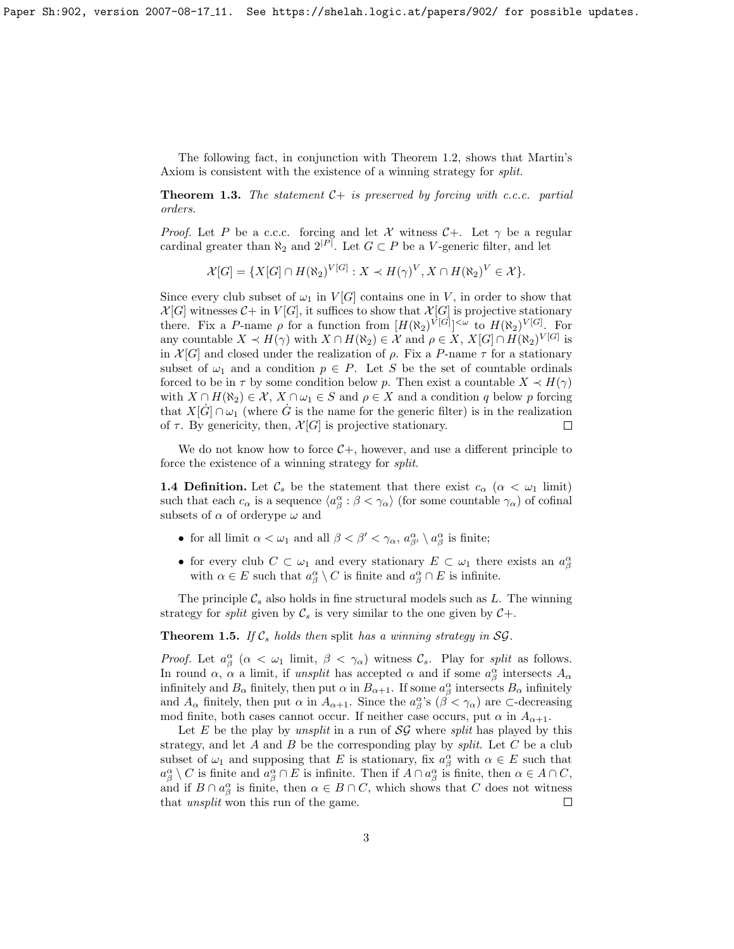The following fact, in conjunction with Theorem [1.2,](#page-1-0) shows that Martin's Axiom is consistent with the existence of a winning strategy for split.

**Theorem 1.3.** The statement  $C+$  is preserved by forcing with c.c.c. partial orders.

*Proof.* Let P be a c.c.c. forcing and let X witness  $C+$ . Let  $\gamma$  be a regular cardinal greater than  $\aleph_2$  and  $2^{|P|}$ . Let  $G \subset P$  be a V-generic filter, and let

$$
\mathcal{X}[G] = \{ X[G] \cap H(\aleph_2)^{V[G]} : X \prec H(\gamma)^V, X \cap H(\aleph_2)^V \in \mathcal{X} \}.
$$

Since every club subset of  $\omega_1$  in  $V[G]$  contains one in V, in order to show that  $\mathcal{X}[G]$  witnesses  $\mathcal{C}$  + in  $V[G]$ , it suffices to show that  $\mathcal{X}[G]$  is projective stationary there. Fix a P-name  $\rho$  for a function from  $[H(\aleph_2)^{V[G]}]^{<\omega}$  to  $H(\aleph_2)^{V[G]}$ . For any countable  $X \prec H(\gamma)$  with  $X \cap H(\aleph_2) \in \mathcal{X}$  and  $\rho \in X$ ,  $X[G] \cap H(\aleph_2)^{V[G]}$  is in  $\mathcal{X}[G]$  and closed under the realization of  $\rho$ . Fix a P-name  $\tau$  for a stationary subset of  $\omega_1$  and a condition  $p \in P$ . Let S be the set of countable ordinals forced to be in  $\tau$  by some condition below p. Then exist a countable  $X \prec H(\gamma)$ with  $X \cap H(\aleph_2) \in \mathcal{X}, X \cap \omega_1 \in S$  and  $\rho \in X$  and a condition q below p forcing that  $X[\dot{G}] \cap \omega_1$  (where  $\dot{G}$  is the name for the generic filter) is in the realization of  $\tau$ . By genericity, then,  $\mathcal{X}[G]$  is projective stationary.  $\Box$ 

We do not know how to force  $C<sub>+</sub>$ , however, and use a different principle to force the existence of a winning strategy for split.

**1.4 Definition.** Let  $\mathcal{C}_s$  be the statement that there exist  $c_\alpha$  ( $\alpha < \omega_1$  limit) such that each  $c_{\alpha}$  is a sequence  $\langle a^{\alpha}_{\beta} : \beta < \gamma_{\alpha} \rangle$  (for some countable  $\gamma_{\alpha}$ ) of cofinal subsets of  $\alpha$  of orderype  $\omega$  and

- for all limit  $\alpha < \omega_1$  and all  $\beta < \beta' < \gamma_\alpha$ ,  $a_{\beta'}^\alpha \setminus a_\beta^\alpha$  is finite;
- for every club  $C \subset \omega_1$  and every stationary  $E \subset \omega_1$  there exists an  $a_{\beta}^{\alpha}$ with  $\alpha \in E$  such that  $a^{\alpha}_{\beta} \setminus C$  is finite and  $a^{\alpha}_{\beta} \cap E$  is infinite.

The principle  $\mathcal{C}_s$  also holds in fine structural models such as L. The winning strategy for *split* given by  $\mathcal{C}_s$  is very similar to the one given by  $\mathcal{C}_+$ .

<span id="page-2-0"></span>**Theorem 1.5.** If  $\mathcal{C}_s$  holds then split has a winning strategy in SG.

*Proof.* Let  $a_{\beta}^{\alpha}$  ( $\alpha < \omega_1$  limit,  $\beta < \gamma_{\alpha}$ ) witness  $\mathcal{C}_s$ . Play for split as follows. In round  $\alpha$ ,  $\alpha$  a limit, if unsplit has accepted  $\alpha$  and if some  $a^{\alpha}_{\beta}$  intersects  $A_{\alpha}$ infinitely and  $B_\alpha$  finitely, then put  $\alpha$  in  $B_{\alpha+1}$ . If some  $a_\beta^\alpha$  intersects  $B_\alpha$  infinitely and  $A_{\alpha}$  finitely, then put  $\alpha$  in  $A_{\alpha+1}$ . Since the  $a_{\beta}^{\alpha}$ 's ( $\beta < \gamma_{\alpha}$ ) are  $\sub$ -decreasing mod finite, both cases cannot occur. If neither case occurs, put  $\alpha$  in  $A_{\alpha+1}$ .

Let E be the play by *unsplit* in a run of  $SG$  where *split* has played by this strategy, and let  $A$  and  $B$  be the corresponding play by *split*. Let  $C$  be a club subset of  $\omega_1$  and supposing that E is stationary, fix  $a_{\beta}^{\alpha}$  with  $\alpha \in E$  such that  $a^{\alpha}_{\beta} \setminus C$  is finite and  $a^{\alpha}_{\beta} \cap E$  is infinite. Then if  $A \cap a^{\alpha}_{\beta}$  is finite, then  $\alpha \in A \cap C$ , and if  $B \cap a_\beta^\alpha$  is finite, then  $\alpha \in B \cap C$ , which shows that C does not witness that unsplit won this run of the game.  $\Box$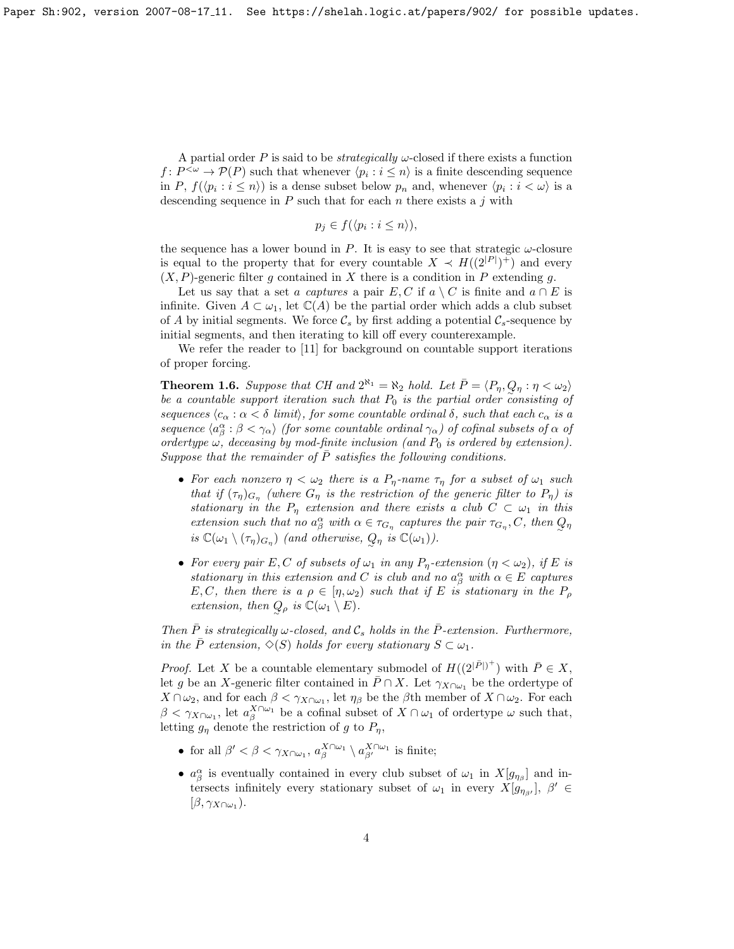A partial order P is said to be *strategically*  $\omega$ -closed if there exists a function  $f: P^{<\omega} \to \mathcal{P}(P)$  such that whenever  $\langle p_i : i \leq n \rangle$  is a finite descending sequence in P,  $f(\langle p_i : i \leq n \rangle)$  is a dense subset below  $p_n$  and, whenever  $\langle p_i : i < \omega \rangle$  is a descending sequence in  $P$  such that for each  $n$  there exists a  $j$  with

$$
p_j \in f(\langle p_i : i \le n \rangle),
$$

the sequence has a lower bound in P. It is easy to see that strategic  $\omega$ -closure is equal to the property that for every countable  $X \prec H((2^{|P|})^+)$  and every  $(X, P)$ -generic filter g contained in X there is a condition in P extending g.

Let us say that a set a captures a pair  $E, C$  if  $a \setminus C$  is finite and  $a \cap E$  is infinite. Given  $A \subset \omega_1$ , let  $\mathbb{C}(A)$  be the partial order which adds a club subset of A by initial segments. We force  $\mathcal{C}_s$  by first adding a potential  $\mathcal{C}_s$ -sequence by initial segments, and then iterating to kill off every counterexample.

We refer the reader to [\[11\]](#page-10-0) for background on countable support iterations of proper forcing.

<span id="page-3-0"></span>**Theorem 1.6.** Suppose that CH and  $2^{\aleph_1} = \aleph_2$  hold. Let  $\overline{P} = \langle P_\eta, Q_\eta : \eta < \omega_2 \rangle$ be a countable support iteration such that  $P_0$  is the partial order consisting of sequences  $\langle c_{\alpha} : \alpha < \delta \, \text{ limit} \rangle$ , for some countable ordinal  $\delta$ , such that each  $c_{\alpha}$  is a sequence  $\langle a_{\beta}^{\alpha} : \beta < \gamma_{\alpha} \rangle$  (for some countable ordinal  $\gamma_{\alpha}$ ) of cofinal subsets of  $\alpha$  of ordertype  $\omega$ , deceasing by mod-finite inclusion (and  $P_0$  is ordered by extension). Suppose that the remainder of  $\overline{P}$  satisfies the following conditions.

- For each nonzero  $\eta < \omega_2$  there is a  $P_n$ -name  $\tau_n$  for a subset of  $\omega_1$  such that if  $(\tau_{\eta})_{G_{\eta}}$  (where  $G_{\eta}$  is the restriction of the generic filter to  $P_{\eta}$ ) is stationary in the  $P_n$  extension and there exists a club  $C \subset \omega_1$  in this extension such that no  $a^{\alpha}_{\beta}$  with  $\alpha \in \tau_{G_{\eta}}$  captures the pair  $\tau_{G_{\eta}}, C$ , then  $Q_{\eta}$ is  $\mathbb{C}(\omega_1 \setminus (\tau_\eta)_{G_\eta})$  (and otherwise,  $Q_\eta$  is  $\mathbb{C}(\omega_1)$ ).
- For every pair E, C of subsets of  $\omega_1$  in any  $P_\eta$ -extension  $(\eta < \omega_2)$ , if E is stationary in this extension and C is club and no  $a^{\alpha}_{\beta}$  with  $\alpha \in E$  captures E, C, then there is a  $\rho \in [\eta, \omega_2)$  such that if E is stationary in the  $P_\rho$ extension, then  $Q_{\rho}$  is  $\mathbb{C}(\omega_1 \setminus E)$ .

Then  $\overline{P}$  is strategically w-closed, and  $\mathcal{C}_s$  holds in the  $\overline{P}$ -extension. Furthermore, in the  $\overline{P}$  extension,  $\Diamond(S)$  holds for every stationary  $S \subset \omega_1$ .

*Proof.* Let X be a countable elementary submodel of  $H((2^{|\bar{P}|})^+)$  with  $\bar{P} \in X$ , let g be an X-generic filter contained in  $\bar{P} \cap X$ . Let  $\gamma_{X \cap \omega_1}$  be the ordertype of  $X \cap \omega_2$ , and for each  $\beta < \gamma_{X \cap \omega_1}$ , let  $\eta_\beta$  be the  $\beta$ th member of  $X \cap \omega_2$ . For each  $\beta < \gamma_{X\cap \omega_1}$ , let  $a_{\beta}^{X\cap \omega_1}$  be a cofinal subset of  $X\cap \omega_1$  of ordertype  $\omega$  such that, letting  $g_n$  denote the restriction of g to  $P_n$ ,

- for all  $\beta' < \beta < \gamma_{X \cap \omega_1}$ ,  $a_{\beta}^{X \cap \omega_1} \setminus a_{\beta'}^{X \cap \omega_1}$  is finite;
- $a_{\beta}^{\alpha}$  is eventually contained in every club subset of  $\omega_1$  in  $X[g_{\eta_{\beta}}]$  and intersects infinitely every stationary subset of  $\omega_1$  in every  $X[g_{\eta_{\beta'}}], \beta' \in$  $[\beta, \gamma_{X\cap \omega_1}).$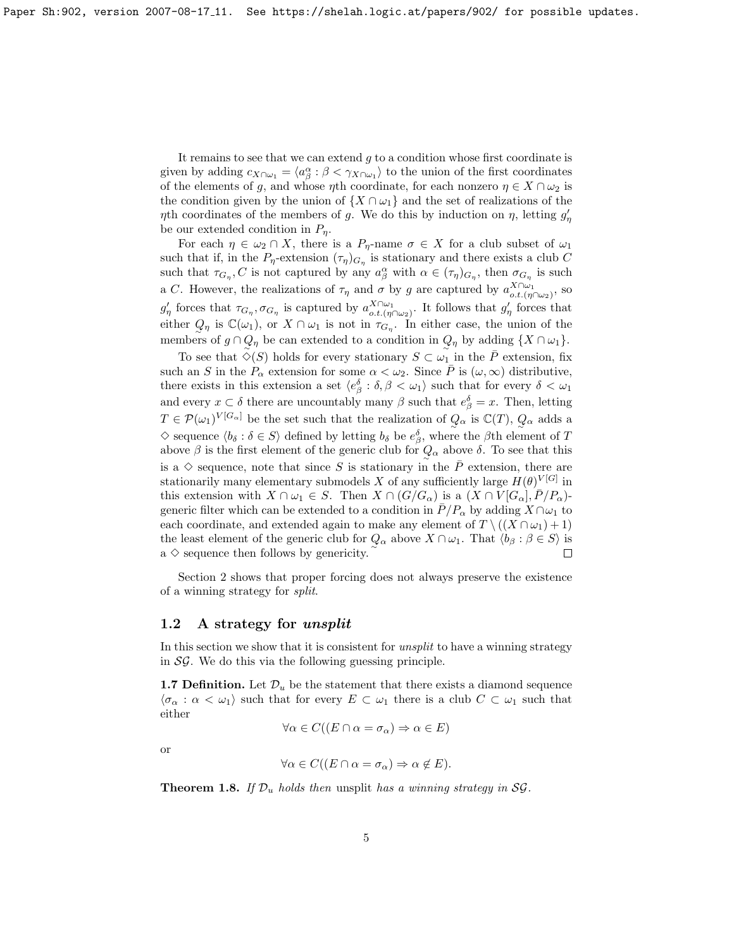It remains to see that we can extend  $g$  to a condition whose first coordinate is given by adding  $c_{X\cap\omega_1} = \langle a_\beta^\alpha : \beta < \gamma_{X\cap\omega_1} \rangle$  to the union of the first coordinates of the elements of g, and whose  $\eta$ th coordinate, for each nonzero  $\eta \in X \cap \omega_2$  is the condition given by the union of  $\{X \cap \omega_1\}$  and the set of realizations of the  $\eta$ th coordinates of the members of g. We do this by induction on  $\eta$ , letting  $g'_{\eta}$ be our extended condition in  $P_n$ .

For each  $\eta \in \omega_2 \cap X$ , there is a  $P_n$ -name  $\sigma \in X$  for a club subset of  $\omega_1$ such that if, in the  $P_{\eta}$ -extension  $(\tau_{\eta})_{G_{\eta}}$  is stationary and there exists a club C such that  $\tau_{G_\eta}, C$  is not captured by any  $a_\beta^\alpha$  with  $\alpha \in (\tau_\eta)_{G_\eta}$ , then  $\sigma_{G_\eta}$  is such a C. However, the realizations of  $\tau_{\eta}$  and  $\sigma$  by g are captured by  $a_{o.t.(\eta \cap \omega_2)}^{X \cap \omega_1}$ , so  $g'_\eta$  forces that  $\tau_{G_\eta}, \sigma_{G_\eta}$  is captured by  $a_{o.t.(\eta \cap \omega_2)}^{X \cap \omega_1}$ . It follows that  $g'_\eta$  forces that either  $Q_{\eta}$  is  $\mathbb{C}(\omega_1)$ , or  $X \cap \omega_1$  is not in  $\tau_{G_{\eta}}$ . In either case, the union of the members of  $g \cap Q_{\eta}$  be can extended to a condition in  $Q_{\eta}$  by adding  $\{X \cap \omega_1\}$ .

To see that  $\Diamond(S)$  holds for every stationary  $S \subset \omega_1$  in the P extension, fix such an S in the  $P_{\alpha}$  extension for some  $\alpha < \omega_2$ . Since  $\overline{P}$  is  $(\omega, \infty)$  distributive, there exists in this extension a set  $\langle e_{\beta}^{\delta} : \delta, \beta < \omega_1 \rangle$  such that for every  $\delta < \omega_1$ and every  $x \subset \delta$  there are uncountably many  $\beta$  such that  $e_{\beta}^{\delta} = x$ . Then, letting  $T \in \mathcal{P}(\omega_1)^{V[G_\alpha]}$  be the set such that the realization of  $Q_\alpha$  is  $\mathbb{C}(T)$ ,  $Q_\alpha$  adds a  $\diamond$  sequence  $\langle b_\delta : \delta \in S \rangle$  defined by letting  $b_\delta$  be  $e_\beta^\delta$ , where the  $\beta$ th element of T above  $\beta$  is the first element of the generic club for  $Q_{\alpha}$  above  $\delta$ . To see that this is a  $\diamond$  sequence, note that since S is stationary in the  $\overline{P}$  extension, there are stationarily many elementary submodels X of any sufficiently large  $H(\theta)^{V[G]}$  in this extension with  $X \cap \omega_1 \in S$ . Then  $X \cap (G/G_\alpha)$  is a  $(X \cap V[G_\alpha], \overline{P}/P_\alpha)$ generic filter which can be extended to a condition in  $\bar{P}/P_\alpha$  by adding  $X \cap \omega_1$  to each coordinate, and extended again to make any element of  $T \setminus ((X \cap \omega_1) + 1)$ the least element of the generic club for  $Q_{\alpha}$  above  $X \cap \omega_1$ . That  $\langle b_{\beta} : \beta \in S \rangle$  is  $a \diamond$  sequence then follows by genericity.  $\Box$ 

Section [2](#page-7-0) shows that proper forcing does not always preserve the existence of a winning strategy for split.

### 1.2 A strategy for unsplit

In this section we show that it is consistent for unsplit to have a winning strategy in  $\mathcal{SG}$ . We do this via the following guessing principle.

**1.7 Definition.** Let  $\mathcal{D}_u$  be the statement that there exists a diamond sequence  $\langle \sigma_\alpha : \alpha < \omega_1 \rangle$  such that for every  $E \subset \omega_1$  there is a club  $C \subset \omega_1$  such that either

$$
\forall \alpha \in C((E \cap \alpha = \sigma_\alpha) \Rightarrow \alpha \in E)
$$

or

$$
\forall \alpha \in C((E \cap \alpha = \sigma_\alpha) \Rightarrow \alpha \notin E).
$$

<span id="page-4-0"></span>**Theorem 1.8.** If  $\mathcal{D}_u$  holds then unsplit has a winning strategy in SG.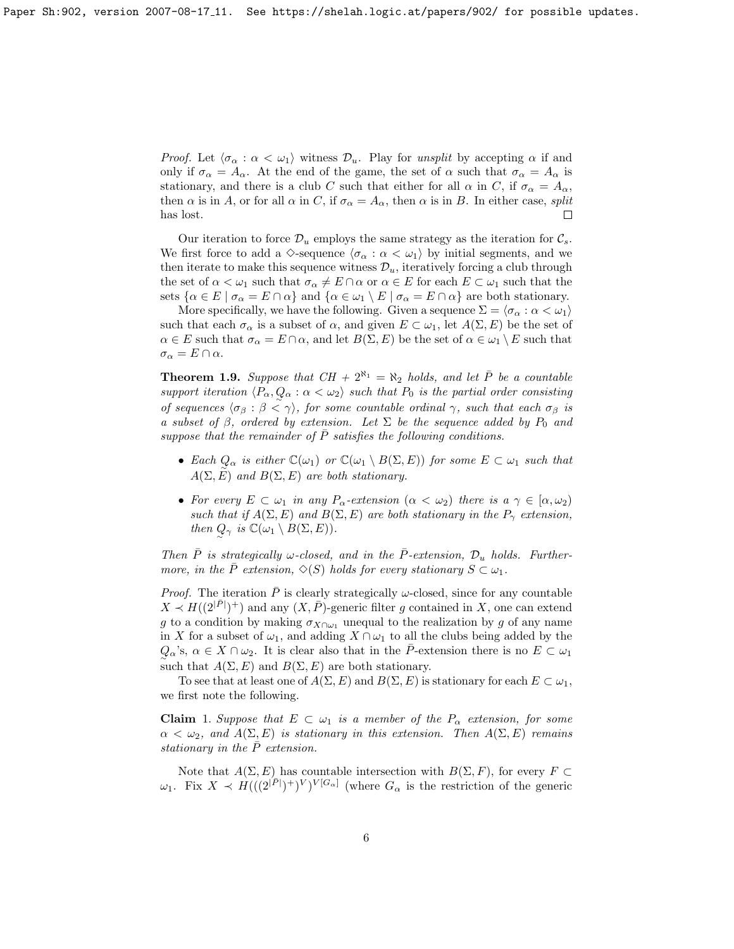*Proof.* Let  $\langle \sigma_\alpha : \alpha < \omega_1 \rangle$  witness  $\mathcal{D}_u$ . Play for unsplit by accepting  $\alpha$  if and only if  $\sigma_{\alpha} = A_{\alpha}$ . At the end of the game, the set of  $\alpha$  such that  $\sigma_{\alpha} = A_{\alpha}$  is stationary, and there is a club C such that either for all  $\alpha$  in C, if  $\sigma_{\alpha} = A_{\alpha}$ , then  $\alpha$  is in A, or for all  $\alpha$  in C, if  $\sigma_{\alpha} = A_{\alpha}$ , then  $\alpha$  is in B. In either case, split has lost.

Our iteration to force  $\mathcal{D}_u$  employs the same strategy as the iteration for  $\mathcal{C}_s$ . We first force to add a  $\Diamond$ -sequence  $\langle \sigma_\alpha : \alpha < \omega_1 \rangle$  by initial segments, and we then iterate to make this sequence witness  $\mathcal{D}_u$ , iteratively forcing a club through the set of  $\alpha < \omega_1$  such that  $\sigma_\alpha \neq E \cap \alpha$  or  $\alpha \in E$  for each  $E \subset \omega_1$  such that the sets  $\{\alpha \in E \mid \sigma_{\alpha} = E \cap \alpha\}$  and  $\{\alpha \in \omega_1 \setminus E \mid \sigma_{\alpha} = E \cap \alpha\}$  are both stationary.

More specifically, we have the following. Given a sequence  $\Sigma = \langle \sigma_\alpha : \alpha < \omega_1 \rangle$ such that each  $\sigma_{\alpha}$  is a subset of  $\alpha$ , and given  $E \subset \omega_1$ , let  $A(\Sigma, E)$  be the set of  $\alpha \in E$  such that  $\sigma_{\alpha} = E \cap \alpha$ , and let  $B(\Sigma, E)$  be the set of  $\alpha \in \omega_1 \setminus E$  such that  $\sigma_{\alpha} = E \cap \alpha$ .

<span id="page-5-0"></span>**Theorem 1.9.** Suppose that  $CH + 2^{\aleph_1} = \aleph_2$  holds, and let  $\overline{P}$  be a countable support iteration  $\langle P_\alpha, Q_\alpha : \alpha < \omega_2 \rangle$  such that  $P_0$  is the partial order consisting of sequences  $\langle \sigma_\beta : \beta < \gamma \rangle$ , for some countable ordinal  $\gamma$ , such that each  $\sigma_\beta$  is a subset of  $\beta$ , ordered by extension. Let  $\Sigma$  be the sequence added by  $P_0$  and suppose that the remainder of  $\overline{P}$  satisfies the following conditions.

- Each  $Q_{\alpha}$  is either  $\mathbb{C}(\omega_1)$  or  $\mathbb{C}(\omega_1 \setminus B(\Sigma, E))$  for some  $E \subset \omega_1$  such that  $A(\Sigma, E)$  and  $B(\Sigma, E)$  are both stationary.
- For every  $E \subset \omega_1$  in any  $P_\alpha$ -extension  $(\alpha < \omega_2)$  there is  $a \gamma \in [\alpha, \omega_2)$ such that if  $A(\Sigma, E)$  and  $B(\Sigma, E)$  are both stationary in the  $P_{\gamma}$  extension, then  $Q_{\gamma}$  is  $\mathbb{C}(\omega_1 \setminus B(\Sigma, E)).$

Then  $\overline{P}$  is strategically w-closed, and in the  $\overline{P}$ -extension,  $\mathcal{D}_u$  holds. Furthermore, in the P extension,  $\Diamond(S)$  holds for every stationary  $S \subset \omega_1$ .

*Proof.* The iteration  $\overline{P}$  is clearly strategically  $\omega$ -closed, since for any countable  $X \prec H((2^{|{\bar{P}}|})^+)$  and any  $(X, {\bar{P}})$ -generic filter g contained in X, one can extend g to a condition by making  $\sigma_{X\cap\omega_1}$  unequal to the realization by g of any name in X for a subset of  $\omega_1$ , and adding  $X \cap \omega_1$  to all the clubs being added by the  $Q_{\alpha}$ 's,  $\alpha \in X \cap \omega_2$ . It is clear also that in the  $\overline{P}$ -extension there is no  $E \subset \omega_1$ such that  $A(\Sigma, E)$  and  $B(\Sigma, E)$  are both stationary.

To see that at least one of  $A(\Sigma, E)$  and  $B(\Sigma, E)$  is stationary for each  $E \subset \omega_1$ , we first note the following.

**Claim** 1. Suppose that  $E \subset \omega_1$  is a member of the  $P_\alpha$  extension, for some  $\alpha < \omega_2$ , and  $A(\Sigma, E)$  is stationary in this extension. Then  $A(\Sigma, E)$  remains stationary in the  $\bar{P}$  extension.

Note that  $A(\Sigma, E)$  has countable intersection with  $B(\Sigma, F)$ , for every  $F \subset$  $\omega_1$ . Fix  $X \prec H(((2^{|\bar{P}|})^+)^V)^{V[G_\alpha]}$  (where  $G_\alpha$  is the restriction of the generic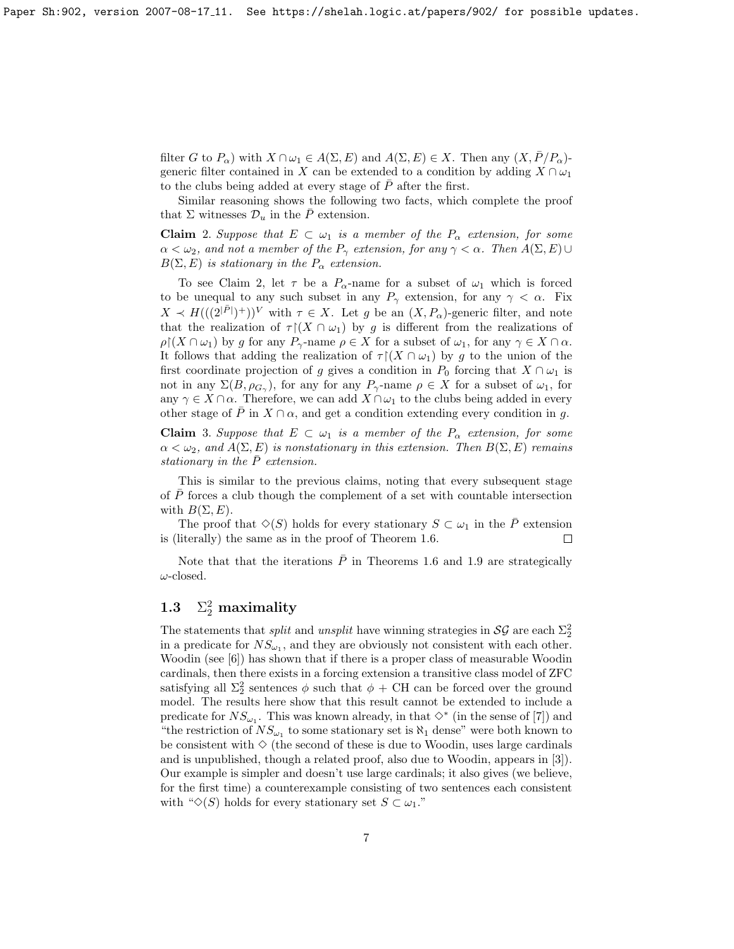filter G to  $P_{\alpha}$ ) with  $X \cap \omega_1 \in A(\Sigma, E)$  and  $A(\Sigma, E) \in X$ . Then any  $(X, \bar{P}/P_{\alpha})$ generic filter contained in X can be extended to a condition by adding  $X \cap \omega_1$ to the clubs being added at every stage of  $\overline{P}$  after the first.

Similar reasoning shows the following two facts, which complete the proof that  $\Sigma$  witnesses  $\mathcal{D}_u$  in the P extension.

Claim 2. Suppose that  $E \subset \omega_1$  is a member of the  $P_\alpha$  extension, for some  $\alpha < \omega_2$ , and not a member of the  $P_\gamma$  extension, for any  $\gamma < \alpha$ . Then  $A(\Sigma, E) \cup$  $B(\Sigma, E)$  is stationary in the  $P_{\alpha}$  extension.

To see Claim 2, let  $\tau$  be a  $P_{\alpha}$ -name for a subset of  $\omega_1$  which is forced to be unequal to any such subset in any  $P_{\gamma}$  extension, for any  $\gamma < \alpha$ . Fix  $X \prec H(((2^{|\bar{P}|})^+))^V$  with  $\tau \in X$ . Let g be an  $(X, P_\alpha)$ -generic filter, and note that the realization of  $\tau$  (X  $\cap$   $\omega$ <sub>1</sub>) by g is different from the realizations of  $\rho$ [ $(X \cap \omega_1)$  by g for any  $P_\gamma$ -name  $\rho \in X$  for a subset of  $\omega_1$ , for any  $\gamma \in X \cap \alpha$ . It follows that adding the realization of  $\tau$  ( $X \cap \omega_1$ ) by g to the union of the first coordinate projection of g gives a condition in  $P_0$  forcing that  $X \cap \omega_1$  is not in any  $\Sigma(B, \rho_{G_\gamma})$ , for any for any  $P_\gamma$ -name  $\rho \in X$  for a subset of  $\omega_1$ , for any  $\gamma \in X \cap \alpha$ . Therefore, we can add  $X \cap \omega_1$  to the clubs being added in every other stage of  $\overline{P}$  in  $X \cap \alpha$ , and get a condition extending every condition in g.

**Claim** 3. Suppose that  $E \subset \omega_1$  is a member of the  $P_\alpha$  extension, for some  $\alpha < \omega_2$ , and  $A(\Sigma, E)$  is nonstationary in this extension. Then  $B(\Sigma, E)$  remains stationary in the  $\bar{P}$  extension.

This is similar to the previous claims, noting that every subsequent stage of  $P$  forces a club though the complement of a set with countable intersection with  $B(\Sigma, E)$ .

The proof that  $\Diamond(S)$  holds for every stationary  $S \subset \omega_1$  in the  $\overline{P}$  extension is (literally) the same as in the proof of Theorem [1.6.](#page-3-0)  $\Box$ 

Note that that the iterations  $\overline{P}$  in Theorems [1.6](#page-3-0) and [1.9](#page-5-0) are strategically  $\omega\text{-closed}.$ 

#### **1.3**  $_2^2$  maximality

The statements that *split* and *unsplit* have winning strategies in  $\mathcal{SG}$  are each  $\Sigma_2^2$ in a predicate for  $NS_{\omega_1}$ , and they are obviously not consistent with each other. Woodin (see [\[6\]](#page-9-4)) has shown that if there is a proper class of measurable Woodin cardinals, then there exists in a forcing extension a transitive class model of ZFC satisfying all  $\Sigma_2^2$  sentences  $\phi$  such that  $\phi + \text{CH}$  can be forced over the ground model. The results here show that this result cannot be extended to include a predicate for  $NS_{\omega_1}$ . This was known already, in that  $\diamond^*$  (in the sense of [\[7\]](#page-9-5)) and "the restriction of  $NS_{\omega_1}$  to some stationary set is  $\aleph_1$  dense" were both known to be consistent with  $\Diamond$  (the second of these is due to Woodin, uses large cardinals and is unpublished, though a related proof, also due to Woodin, appears in [\[3\]](#page-9-6)). Our example is simpler and doesn't use large cardinals; it also gives (we believe, for the first time) a counterexample consisting of two sentences each consistent with " $\Diamond$ (S) holds for every stationary set  $S \subset \omega_1$ ."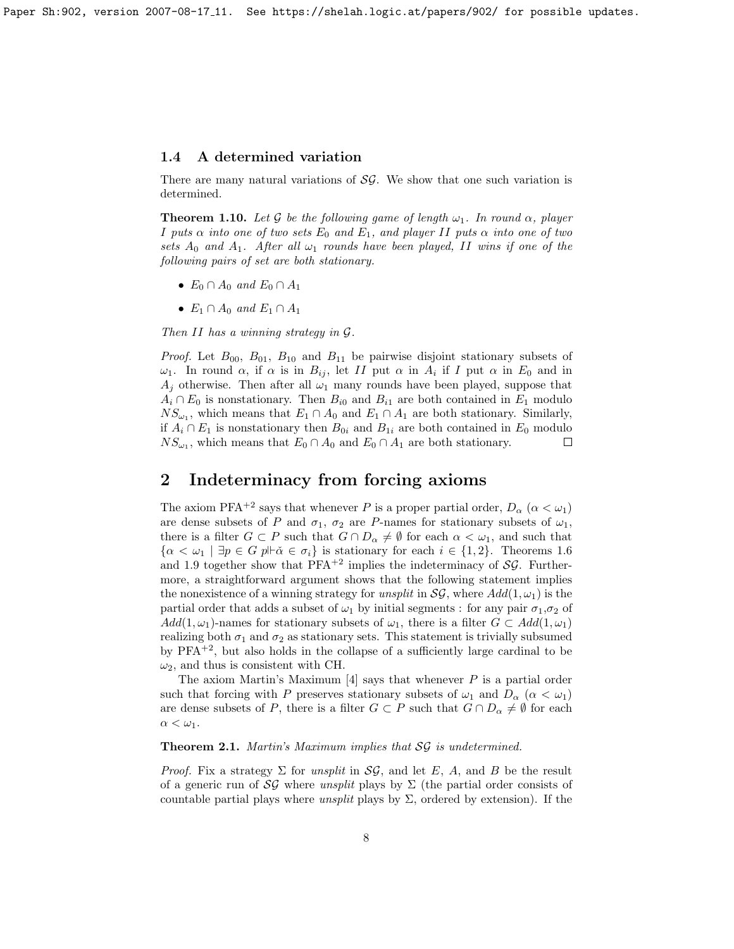Paper Sh:902, version 2007-08-17 11. See https://shelah.logic.at/papers/902/ for possible updates.

## 1.4 A determined variation

There are many natural variations of  $S\mathcal{G}$ . We show that one such variation is determined.

**Theorem 1.10.** Let G be the following game of length  $\omega_1$ . In round  $\alpha$ , player I puts  $\alpha$  into one of two sets  $E_0$  and  $E_1$ , and player II puts  $\alpha$  into one of two sets  $A_0$  and  $A_1$ . After all  $\omega_1$  rounds have been played, II wins if one of the following pairs of set are both stationary.

- $E_0 \cap A_0$  and  $E_0 \cap A_1$
- $E_1 \cap A_0$  and  $E_1 \cap A_1$

Then II has a winning strategy in  $\mathcal{G}$ .

*Proof.* Let  $B_{00}$ ,  $B_{01}$ ,  $B_{10}$  and  $B_{11}$  be pairwise disjoint stationary subsets of  $ω_1$ . In round α, if α is in  $B_{ij}$ , let II put α in  $A_i$  if I put α in  $E_0$  and in  $A_i$  otherwise. Then after all  $\omega_1$  many rounds have been played, suppose that  $A_i \cap E_0$  is nonstationary. Then  $B_{i0}$  and  $B_{i1}$  are both contained in  $E_1$  modulo  $NS_{\omega_1}$ , which means that  $E_1 \cap A_0$  and  $E_1 \cap A_1$  are both stationary. Similarly, if  $A_i \cap E_1$  is nonstationary then  $B_{0i}$  and  $B_{1i}$  are both contained in  $E_0$  modulo  $NS_{\omega_1}$ , which means that  $E_0 \cap A_0$  and  $E_0 \cap A_1$  are both stationary.  $\Box$ 

## <span id="page-7-0"></span>2 Indeterminacy from forcing axioms

The axiom PFA<sup>+2</sup> says that whenever P is a proper partial order,  $D_{\alpha}$  ( $\alpha < \omega_1$ ) are dense subsets of P and  $\sigma_1$ ,  $\sigma_2$  are P-names for stationary subsets of  $\omega_1$ , there is a filter  $G \subset P$  such that  $G \cap D_\alpha \neq \emptyset$  for each  $\alpha < \omega_1$ , and such that  $\{\alpha < \omega_1 \mid \exists p \in G \ p \Vdash \check{\alpha} \in \sigma_i\}$  is stationary for each  $i \in \{1, 2\}$ . Theorems [1.6](#page-3-0) and [1.9](#page-5-0) together show that  $PFA^{+2}$  implies the indeterminacy of  $SG$ . Furthermore, a straightforward argument shows that the following statement implies the nonexistence of a winning strategy for unsplit in  $\mathcal{SG}$ , where  $Add(1, \omega_1)$  is the partial order that adds a subset of  $\omega_1$  by initial segments : for any pair  $\sigma_1$ ,  $\sigma_2$  of  $Add(1,\omega_1)$ -names for stationary subsets of  $\omega_1$ , there is a filter  $G \subset Add(1,\omega_1)$ realizing both  $\sigma_1$  and  $\sigma_2$  as stationary sets. This statement is trivially subsumed by  $PFA^{+2}$ , but also holds in the collapse of a sufficiently large cardinal to be  $\omega_2$ , and thus is consistent with CH.

The axiom Martin's Maximum  $[4]$  says that whenever P is a partial order such that forcing with P preserves stationary subsets of  $\omega_1$  and  $D_\alpha$  ( $\alpha < \omega_1$ ) are dense subsets of P, there is a filter  $G \subset P$  such that  $G \cap D_{\alpha} \neq \emptyset$  for each  $\alpha < \omega_1$ .

<span id="page-7-1"></span>Theorem 2.1. Martin's Maximum implies that SG is undetermined.

*Proof.* Fix a strategy  $\Sigma$  for unsplit in  $\mathcal{SG}$ , and let E, A, and B be the result of a generic run of  $\mathcal{SG}$  where unsplit plays by  $\Sigma$  (the partial order consists of countable partial plays where unsplit plays by  $\Sigma$ , ordered by extension). If the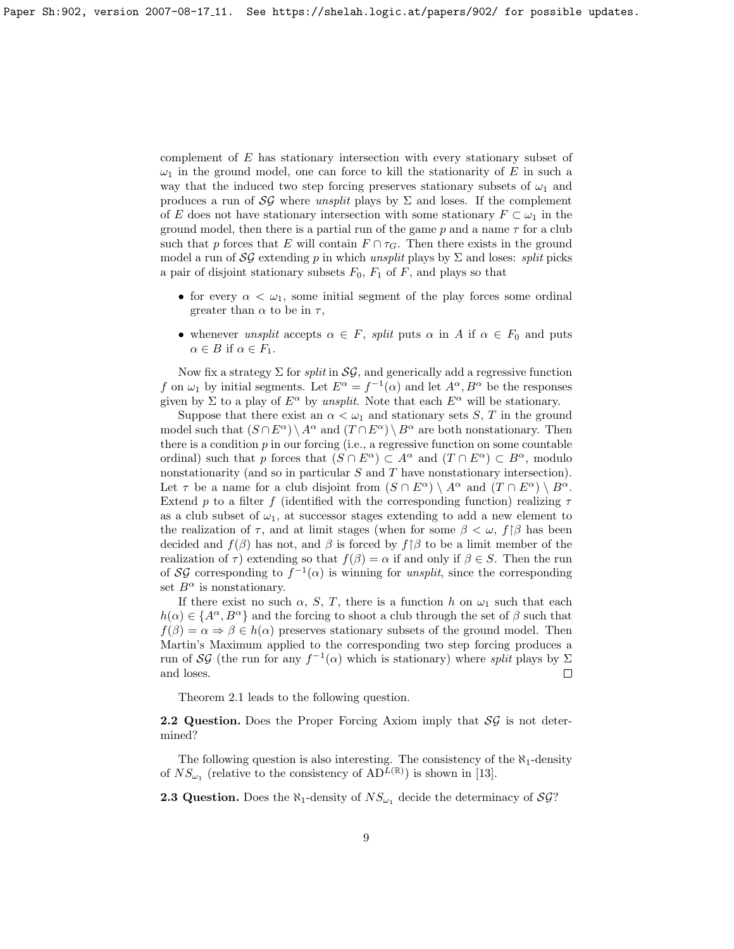complement of E has stationary intersection with every stationary subset of  $\omega_1$  in the ground model, one can force to kill the stationarity of E in such a way that the induced two step forcing preserves stationary subsets of  $\omega_1$  and produces a run of SG where unsplit plays by  $\Sigma$  and loses. If the complement of E does not have stationary intersection with some stationary  $F \subset \omega_1$  in the ground model, then there is a partial run of the game  $p$  and a name  $\tau$  for a club such that p forces that E will contain  $F \cap \tau_G$ . Then there exists in the ground model a run of  $\mathcal{SG}$  extending p in which unsplit plays by  $\Sigma$  and loses: split picks a pair of disjoint stationary subsets  $F_0$ ,  $F_1$  of F, and plays so that

- for every  $\alpha < \omega_1$ , some initial segment of the play forces some ordinal greater than  $\alpha$  to be in  $\tau$ ,
- whenever unsplit accepts  $\alpha \in F$ , split puts  $\alpha$  in A if  $\alpha \in F_0$  and puts  $\alpha \in B$  if  $\alpha \in F_1$ .

Now fix a strategy  $\Sigma$  for *split* in  $\mathcal{SG}$ , and generically add a regressive function f on  $\omega_1$  by initial segments. Let  $E^{\alpha} = f^{-1}(\alpha)$  and let  $A^{\alpha}, B^{\alpha}$  be the responses given by Σ to a play of  $E^{\alpha}$  by unsplit. Note that each  $E^{\alpha}$  will be stationary.

Suppose that there exist an  $\alpha < \omega_1$  and stationary sets S, T in the ground model such that  $(S \cap E^{\alpha}) \setminus A^{\alpha}$  and  $(T \cap E^{\alpha}) \setminus B^{\alpha}$  are both nonstationary. Then there is a condition  $p$  in our forcing (i.e., a regressive function on some countable ordinal) such that p forces that  $(S \cap E^{\alpha}) \subset A^{\alpha}$  and  $(T \cap E^{\alpha}) \subset B^{\alpha}$ , modulo nonstationarity (and so in particular S and T have nonstationary intersection). Let  $\tau$  be a name for a club disjoint from  $(S \cap E^{\alpha}) \setminus A^{\alpha}$  and  $(T \cap E^{\alpha}) \setminus B^{\alpha}$ . Extend p to a filter f (identified with the corresponding function) realizing  $\tau$ as a club subset of  $\omega_1$ , at successor stages extending to add a new element to the realization of  $\tau$ , and at limit stages (when for some  $\beta < \omega$ ,  $f[\beta]$  has been decided and  $f(\beta)$  has not, and  $\beta$  is forced by  $f\upharpoonright\beta$  to be a limit member of the realization of  $\tau$ ) extending so that  $f(\beta) = \alpha$  if and only if  $\beta \in S$ . Then the run of SG corresponding to  $f^{-1}(\alpha)$  is winning for unsplit, since the corresponding set  $B^{\alpha}$  is nonstationary.

If there exist no such  $\alpha$ , S, T, there is a function h on  $\omega_1$  such that each  $h(\alpha) \in \{A^{\alpha}, B^{\alpha}\}\$ and the forcing to shoot a club through the set of  $\beta$  such that  $f(\beta) = \alpha \Rightarrow \beta \in h(\alpha)$  preserves stationary subsets of the ground model. Then Martin's Maximum applied to the corresponding two step forcing produces a run of SG (the run for any  $f^{-1}(\alpha)$  which is stationary) where split plays by  $\Sigma$ and loses.  $\Box$ 

Theorem [2.1](#page-7-1) leads to the following question.

**2.2 Question.** Does the Proper Forcing Axiom imply that  $\mathcal{SG}$  is not determined?

The following question is also interesting. The consistency of the  $\aleph_1$ -density of  $NS_{\omega_1}$  (relative to the consistency of  $AD^{\tilde{L}(\mathbb{R})}$ ) is shown in [\[13\]](#page-10-1).

**2.3 Question.** Does the  $\aleph_1$ -density of  $NS_{\omega_1}$  decide the determinacy of  $SG$ ?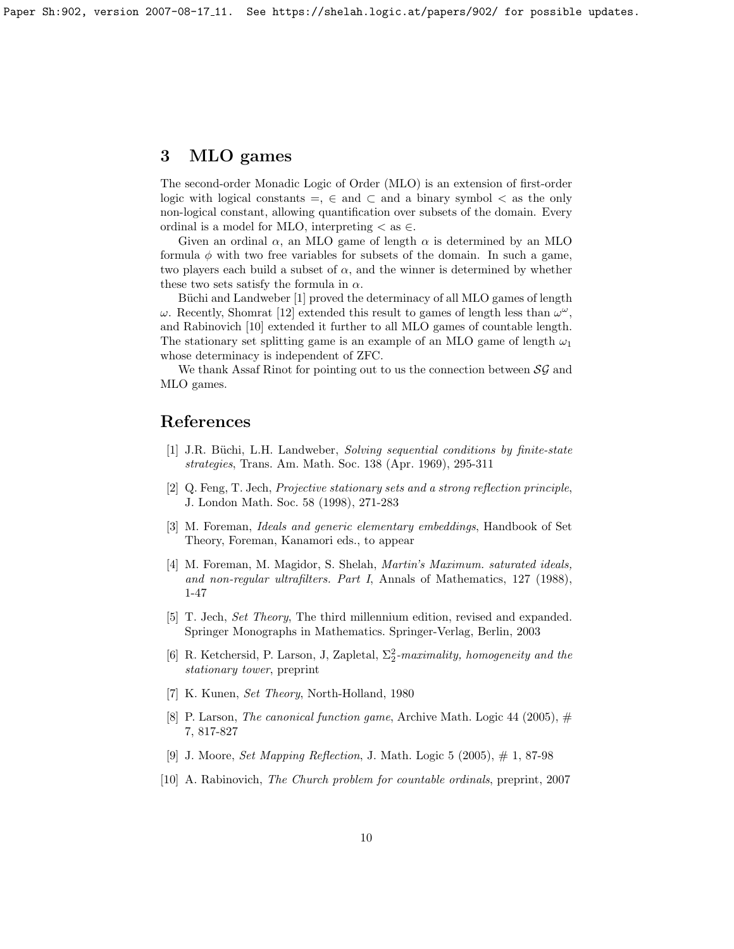## 3 MLO games

The second-order Monadic Logic of Order (MLO) is an extension of first-order logic with logical constants =,  $\in$  and  $\subset$  and a binary symbol  $\lt$  as the only non-logical constant, allowing quantification over subsets of the domain. Every ordinal is a model for MLO, interpreting  $\lt$  as  $\in$ .

Given an ordinal  $\alpha$ , an MLO game of length  $\alpha$  is determined by an MLO formula  $\phi$  with two free variables for subsets of the domain. In such a game, two players each build a subset of  $\alpha$ , and the winner is determined by whether these two sets satisfy the formula in  $\alpha$ .

Büchi and Landweber [\[1\]](#page-9-7) proved the determinacy of all MLO games of length  $\omega$ . Recently, Shomrat [\[12\]](#page-10-2) extended this result to games of length less than  $\omega^{\omega}$ , and Rabinovich [\[10\]](#page-9-8) extended it further to all MLO games of countable length. The stationary set splitting game is an example of an MLO game of length  $\omega_1$ whose determinacy is independent of ZFC.

We thank Assaf Rinot for pointing out to us the connection between  $\mathcal{SG}$  and MLO games.

## References

- <span id="page-9-7"></span>[1] J.R. Büchi, L.H. Landweber, Solving sequential conditions by finite-state strategies, Trans. Am. Math. Soc. 138 (Apr. 1969), 295-311
- <span id="page-9-1"></span>[2] Q. Feng, T. Jech, Projective stationary sets and a strong reflection principle, J. London Math. Soc. 58 (1998), 271-283
- <span id="page-9-6"></span>[3] M. Foreman, Ideals and generic elementary embeddings, Handbook of Set Theory, Foreman, Kanamori eds., to appear
- <span id="page-9-0"></span>[4] M. Foreman, M. Magidor, S. Shelah, Martin's Maximum. saturated ideals, and non-regular ultrafilters. Part I, Annals of Mathematics, 127 (1988), 1-47
- [5] T. Jech, Set Theory, The third millennium edition, revised and expanded. Springer Monographs in Mathematics. Springer-Verlag, Berlin, 2003
- <span id="page-9-4"></span>[6] R. Ketchersid, P. Larson, J. Zapletal,  $\Sigma_2^2$ -maximality, homogeneity and the stationary tower, preprint
- <span id="page-9-5"></span>[7] K. Kunen, Set Theory, North-Holland, 1980
- <span id="page-9-2"></span>[8] P. Larson, *The canonical function game*, Archive Math. Logic 44 (2005),  $\#$ 7, 817-827
- <span id="page-9-3"></span>[9] J. Moore, *Set Mapping Reflection*, J. Math. Logic 5 (2005),  $\#$  1, 87-98
- <span id="page-9-8"></span>[10] A. Rabinovich, The Church problem for countable ordinals, preprint, 2007